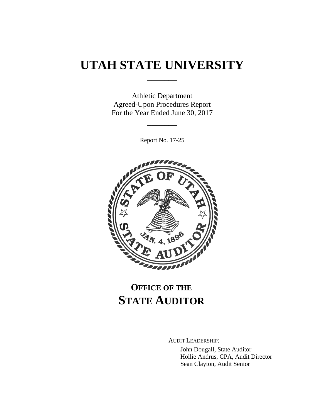# **UTAH STATE UNIVERSITY**

\_\_\_\_\_\_\_

Athletic Department Agreed-Upon Procedures Report For the Year Ended June 30, 2017

Report No. 17-25

\_\_\_\_\_\_\_



## **OFFICE OF THE STATE AUDITOR**

AUDIT LEADERSHIP:

John Dougall, State Auditor Hollie Andrus, CPA, Audit Director Sean Clayton, Audit Senior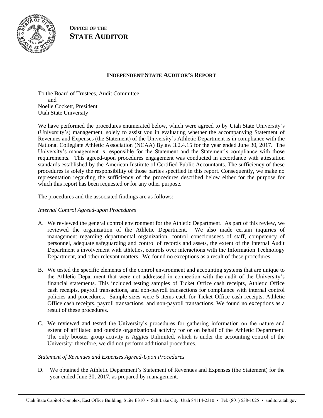

**OFFICE OF THE STATE AUDITOR**

## **INDEPENDENT STATE AUDITOR'S REPORT**

To the Board of Trustees, Audit Committee, and Noelle Cockett, President Utah State University

We have performed the procedures enumerated below, which were agreed to by Utah State University's (University's) management, solely to assist you in evaluating whether the accompanying Statement of Revenues and Expenses (the Statement) of the University's Athletic Department is in compliance with the National Collegiate Athletic Association (NCAA) Bylaw 3.2.4.15 for the year ended June 30, 2017. The University's management is responsible for the Statement and the Statement's compliance with those requirements. This agreed-upon procedures engagement was conducted in accordance with attestation standards established by the American Institute of Certified Public Accountants. The sufficiency of these procedures is solely the responsibility of those parties specified in this report. Consequently, we make no representation regarding the sufficiency of the procedures described below either for the purpose for which this report has been requested or for any other purpose.

The procedures and the associated findings are as follows:

#### *Internal Control Agreed-upon Procedures*

- A. We reviewed the general control environment for the Athletic Department. As part of this review, we reviewed the organization of the Athletic Department. We also made certain inquiries of management regarding departmental organization, control consciousness of staff, competency of personnel, adequate safeguarding and control of records and assets, the extent of the Internal Audit Department's involvement with athletics, controls over interactions with the Information Technology Department, and other relevant matters. We found no exceptions as a result of these procedures.
- B. We tested the specific elements of the control environment and accounting systems that are unique to the Athletic Department that were not addressed in connection with the audit of the University's financial statements. This included testing samples of Ticket Office cash receipts, Athletic Office cash receipts, payroll transactions, and non-payroll transactions for compliance with internal control policies and procedures. Sample sizes were 5 items each for Ticket Office cash receipts, Athletic Office cash receipts, payroll transactions, and non-payroll transactions. We found no exceptions as a result of these procedures.
- C. We reviewed and tested the University's procedures for gathering information on the nature and extent of affiliated and outside organizational activity for or on behalf of the Athletic Department. The only booster group activity is Aggies Unlimited, which is under the accounting control of the University; therefore, we did not perform additional procedures.

#### *Statement of Revenues and Expenses Agreed-Upon Procedures*

D. We obtained the Athletic Department's Statement of Revenues and Expenses (the Statement) for the year ended June 30, 2017, as prepared by management.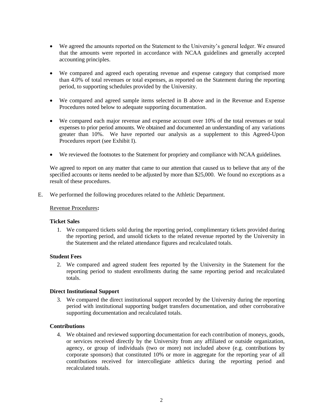- We agreed the amounts reported on the Statement to the University's general ledger. We ensured that the amounts were reported in accordance with NCAA guidelines and generally accepted accounting principles.
- We compared and agreed each operating revenue and expense category that comprised more than 4.0% of total revenues or total expenses, as reported on the Statement during the reporting period, to supporting schedules provided by the University.
- We compared and agreed sample items selected in B above and in the Revenue and Expense Procedures noted below to adequate supporting documentation.
- We compared each major revenue and expense account over 10% of the total revenues or total expenses to prior period amounts. We obtained and documented an understanding of any variations greater than 10%. We have reported our analysis as a supplement to this Agreed-Upon Procedures report (see Exhibit I).
- We reviewed the footnotes to the Statement for propriety and compliance with NCAA guidelines.

We agreed to report on any matter that came to our attention that caused us to believe that any of the specified accounts or items needed to be adjusted by more than \$25,000. We found no exceptions as a result of these procedures.

E. We performed the following procedures related to the Athletic Department.

#### Revenue Procedures**:**

#### **Ticket Sales**

1. We compared tickets sold during the reporting period, complimentary tickets provided during the reporting period, and unsold tickets to the related revenue reported by the University in the Statement and the related attendance figures and recalculated totals.

#### **Student Fees**

2. We compared and agreed student fees reported by the University in the Statement for the reporting period to student enrollments during the same reporting period and recalculated totals.

#### **Direct Institutional Support**

3. We compared the direct institutional support recorded by the University during the reporting period with institutional supporting budget transfers documentation, and other corroborative supporting documentation and recalculated totals.

#### **Contributions**

4. We obtained and reviewed supporting documentation for each contribution of moneys, goods, or services received directly by the University from any affiliated or outside organization, agency, or group of individuals (two or more) not included above (e.g. contributions by corporate sponsors) that constituted 10% or more in aggregate for the reporting year of all contributions received for intercollegiate athletics during the reporting period and recalculated totals.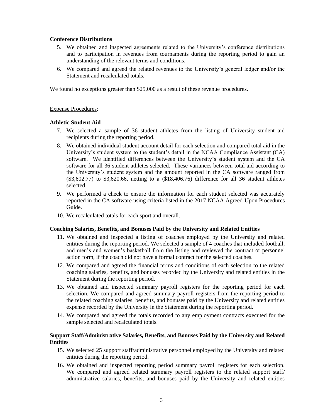#### **Conference Distributions**

- 5. We obtained and inspected agreements related to the University's conference distributions and to participation in revenues from tournaments during the reporting period to gain an understanding of the relevant terms and conditions.
- 6. We compared and agreed the related revenues to the University's general ledger and/or the Statement and recalculated totals.

We found no exceptions greater than \$25,000 as a result of these revenue procedures.

#### Expense Procedures:

#### **Athletic Student Aid**

- 7. We selected a sample of 36 student athletes from the listing of University student aid recipients during the reporting period.
- 8. We obtained individual student account detail for each selection and compared total aid in the University's student system to the student's detail in the NCAA Compliance Assistant (CA) software. We identified differences between the University's student system and the CA software for all 36 student athletes selected. These variances between total aid according to the University's student system and the amount reported in the CA software ranged from (\$3,602.77) to \$3,620.66, netting to a (\$18,406.76) difference for all 36 student athletes selected.
- 9. We performed a check to ensure the information for each student selected was accurately reported in the CA software using criteria listed in the 2017 NCAA Agreed-Upon Procedures Guide.
- 10. We recalculated totals for each sport and overall.

#### **Coaching Salaries, Benefits, and Bonuses Paid by the University and Related Entities**

- 11. We obtained and inspected a listing of coaches employed by the University and related entities during the reporting period. We selected a sample of 4 coaches that included football, and men's and women's basketball from the listing and reviewed the contract or personnel action form, if the coach did not have a formal contract for the selected coaches.
- 12. We compared and agreed the financial terms and conditions of each selection to the related coaching salaries, benefits, and bonuses recorded by the University and related entities in the Statement during the reporting period.
- 13. We obtained and inspected summary payroll registers for the reporting period for each selection. We compared and agreed summary payroll registers from the reporting period to the related coaching salaries, benefits, and bonuses paid by the University and related entities expense recorded by the University in the Statement during the reporting period.
- 14. We compared and agreed the totals recorded to any employment contracts executed for the sample selected and recalculated totals.

#### **Support Staff/Administrative Salaries, Benefits, and Bonuses Paid by the University and Related Entities**

- 15. We selected 25 support staff/administrative personnel employed by the University and related entities during the reporting period.
- 16. We obtained and inspected reporting period summary payroll registers for each selection. We compared and agreed related summary payroll registers to the related support staff/ administrative salaries, benefits, and bonuses paid by the University and related entities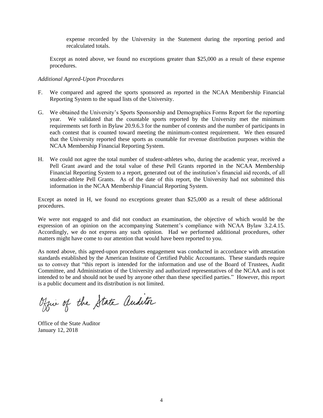expense recorded by the University in the Statement during the reporting period and recalculated totals.

Except as noted above, we found no exceptions greater than \$25,000 as a result of these expense procedures.

#### *Additional Agreed-Upon Procedures*

- F. We compared and agreed the sports sponsored as reported in the NCAA Membership Financial Reporting System to the squad lists of the University.
- G. We obtained the University's Sports Sponsorship and Demographics Forms Report for the reporting year. We validated that the countable sports reported by the University met the minimum requirements set forth in Bylaw 20.9.6.3 for the number of contests and the number of participants in each contest that is counted toward meeting the minimum-contest requirement. We then ensured that the University reported these sports as countable for revenue distribution purposes within the NCAA Membership Financial Reporting System.
- H. We could not agree the total number of student-athletes who, during the academic year, received a Pell Grant award and the total value of these Pell Grants reported in the NCAA Membership Financial Reporting System to a report, generated out of the institution's financial aid records, of all student-athlete Pell Grants. As of the date of this report, the University had not submitted this information in the NCAA Membership Financial Reporting System.

Except as noted in H, we found no exceptions greater than \$25,000 as a result of these additional procedures.

We were not engaged to and did not conduct an examination, the objective of which would be the expression of an opinion on the accompanying Statement's compliance with NCAA Bylaw 3.2.4.15. Accordingly, we do not express any such opinion. Had we performed additional procedures, other matters might have come to our attention that would have been reported to you.

As noted above, this agreed-upon procedures engagement was conducted in accordance with attestation standards established by the American Institute of Certified Public Accountants. These standards require us to convey that "this report is intended for the information and use of the Board of Trustees, Audit Committee, and Administration of the University and authorized representatives of the NCAA and is not intended to be and should not be used by anyone other than these specified parties." However, this report is a public document and its distribution is not limited.

Office of the State auditor

Office of the State Auditor January 12, 2018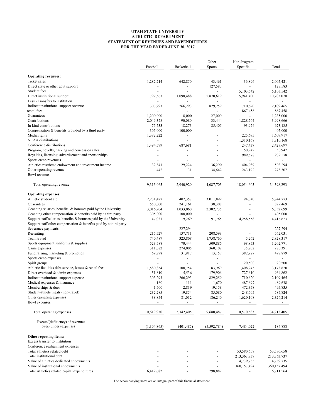#### UTAH STATE UNIVERSITY ATHLETIC DEPARTMENT STATEMENT OF REVENUES AND EXPENDITURES FOR THE YEAR ENDED JUNE 30, 2017

|                                                                     |                |                          | Other                    | Non-Program              |                |
|---------------------------------------------------------------------|----------------|--------------------------|--------------------------|--------------------------|----------------|
|                                                                     | Football       | Basketball               | Sports                   | Specific                 | Total          |
| <b>Operating revenues:</b>                                          |                |                          |                          |                          |                |
| Ticket sales                                                        | 1,282,214      | 642,850                  | 43,461                   | 36,896                   | 2,005,421      |
| Direct state or other govt support                                  | ÷,             |                          | 127,583                  |                          | 127,583        |
| Student fees                                                        |                |                          |                          | 5,103,542                | 5,103,542      |
| Direct institutional support                                        | 792,563        | 1,098,488                | 2,870,619                | 5,941,400                | 10,703,070     |
| Less - Transfers to institution                                     |                |                          |                          |                          |                |
| Indirect institutional support revenue                              | 303,293        | 266,293                  | 829,259                  | 710,620                  | 2,109,465      |
| rental fees                                                         |                | $\blacksquare$           | $\sim$                   | 867,458                  | 867,458        |
| Guarantees                                                          | 1.200.000      | 8,000                    | 27,000                   |                          | 1,235,000      |
| Contributions                                                       | 2,046,378      | 90,080                   | 33,444                   | 1,828,764                | 3,998,666      |
| In-kind contributions                                               | 475,533        | 18,273                   | 85,405                   | 93,974                   | 673,185        |
| Compensation & benefits provided by a third party                   | 305,000        | 100,000                  | ÷,                       | $\overline{a}$           | 405,000        |
| Media rights                                                        | 1,382,222      | $\overline{\phantom{a}}$ | ÷                        | 225,695                  | 1,607,917      |
| <b>NCAA</b> distributions                                           |                |                          |                          | 1,310,168                | 1,310,168      |
| Conference distributions                                            | 1,494,579      | 687,681                  |                          | 247,437                  | 2,429,697      |
| Program, novelty, parking and concession sales                      |                |                          |                          | 50,942                   | 50,942         |
| Royalties, licensing, advertisement and sponsorships                |                |                          |                          | 989,578                  | 989,578        |
| Sports camp revenues                                                |                |                          |                          | ÷,                       |                |
| Athletics restricted endowment and investment income                | 32,841         | 29.224                   | 36,290                   | 404,939                  | 503,294        |
| Other operating revenue                                             | 442            | 31                       | 34,642                   | 243,192                  | 278,307        |
| <b>Bowl</b> revenues                                                | $\blacksquare$ | $\overline{\phantom{a}}$ | $\sim$                   | $\overline{\phantom{a}}$ | $\blacksquare$ |
| Total operating revenue                                             | 9,315,065      | 2,940,920                | 4,087,703                | 18,054,605               | 34,398,293     |
| <b>Operating expenses:</b>                                          |                |                          |                          |                          |                |
| Athletic student aid                                                | 2,231,477      | 407,357                  | 3,011,899                | 94,040                   | 5,744,773      |
| Guarantees                                                          | 550,000        | 241,161                  | 38,308                   |                          | 829,469        |
| Coaching salaries, benefits, & bonuses paid by the University       | 3,016,904      | 1,033,060                | 2,302,735                | -                        | 6,352,699      |
| Coaching other compensation & benefits paid by a third party        | 305,000        | 100,000                  |                          |                          | 405,000        |
| Support staff salaries, benefits & bonuses paid by the University   | 47,031         | 19,269                   | 91,765                   | 4,258,558                | 4,416,623      |
| Support staff other compensation $&$ benefits paid by a third party | $\overline{a}$ | $\overline{\phantom{a}}$ | $\overline{\phantom{a}}$ |                          |                |
| Severance payments                                                  | ÷,             | 227,294                  |                          | ÷,                       | 227,294        |
| Recruiting                                                          | 215,727        | 137,711                  | 208,593                  |                          | 562,031        |
| Team travel                                                         | 740,487        | 323,808                  | 1,758,760                | 5,262                    | 2,828,317      |
| Sports equipment, uniforms & supplies                               | 523,588        | 70,444                   | 509,886                  | 98,853                   | 1,202,771      |
| Game expenses                                                       | 311,082        | 274,005                  | 360,102                  | 35,202                   | 980,391        |
| Fund raising, marketing & promotion                                 | 69,878         | 31,917                   | 13,157                   | 382,927                  | 497,879        |
| Sports camp expenses                                                | ÷,             | $\overline{a}$           | ÷,                       |                          |                |
| Spirit groups                                                       |                |                          | ÷,                       | 20,500                   | 20,500         |
| Athletic facilities debt service, leases & rental fees              | 1,580,854      | 100,754                  | 83,969                   | 1,408,243                | 3,173,820      |
| Direct overhead & admin expenses                                    | 51,810         | 5,536                    | 179,906                  | 727,610                  | 964,862        |
| Indirect institutional support expense                              | 303,293        | 266,293                  | 829,259                  | 710,620                  | 2,109,465      |
| Medical expenses & insurance                                        | 160            | 111                      | 1,670                    | 487,697                  | 489,638        |
| Memberships & dues                                                  | 1,500          | 2,819                    | 19,158                   | 472,358                  | 495,835        |
| Student-athlete meals (non-travel)                                  | 232,285        | 19,854                   | 85,080                   | 248,605                  | 585,824        |
| Other operating expenses                                            | 438,854        | 81,012                   | 186,240                  | 1,620,108                | 2,326,214      |
| Bowl expenses                                                       |                | ÷,                       |                          |                          |                |
| Total operating expenses                                            | 10,619,930     | 3,342,405                | 9,680,487                | 10,570,583               | 34,213,405     |
| Excess/(deficiency) of revenues<br>over/(under) expenses            | (1,304,865)    | (401, 485)               | (5,592,784)              | 7,484,022                | 184,888        |
| Other reporting items:                                              |                |                          |                          |                          |                |
| Excess transfer to institution                                      |                |                          |                          |                          |                |
| Conference realignment expenses                                     |                |                          |                          |                          |                |
| Total athletics related debt                                        |                |                          |                          | 53,580,658               | 53,580,658     |
| Total institutional debt                                            |                |                          |                          | 213,363,737              | 213, 363, 737  |
| Value of athletics dedicated endowments                             |                |                          |                          | 4,739,735                | 4,739,735      |
| Value of institutional endowments                                   |                |                          |                          | 360,157,494              | 360,157,494    |
| Total Athletics related capital expenditures                        | 6,412,682      |                          | 298,882                  |                          | 6,711,564      |

The accompanying notes are an integral part of this financial statement.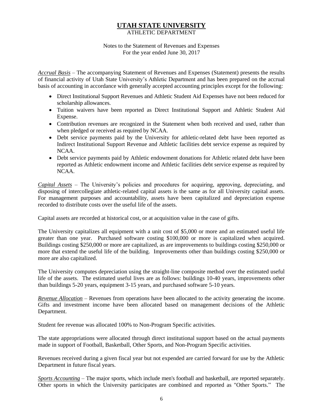### **UTAH STATE UNIVERSITY** ATHLETIC DEPARTMENT

#### Notes to the Statement of Revenues and Expenses For the year ended June 30, 2017

*Accrual Basis* ‒ The accompanying Statement of Revenues and Expenses (Statement) presents the results of financial activity of Utah State University's Athletic Department and has been prepared on the accrual basis of accounting in accordance with generally accepted accounting principles except for the following:

- Direct Institutional Support Revenues and Athletic Student Aid Expenses have not been reduced for scholarship allowances.
- Tuition waivers have been reported as Direct Institutional Support and Athletic Student Aid Expense.
- Contribution revenues are recognized in the Statement when both received and used, rather than when pledged or received as required by NCAA.
- Debt service payments paid by the University for athletic-related debt have been reported as Indirect Institutional Support Revenue and Athletic facilities debt service expense as required by NCAA.
- Debt service payments paid by Athletic endowment donations for Athletic related debt have been reported as Athletic endowment income and Athletic facilities debt service expense as required by NCAA.

*Capital Assets* ‒ The University's policies and procedures for acquiring, approving, depreciating, and disposing of intercollegiate athletic-related capital assets is the same as for all University capital assets. For management purposes and accountability, assets have been capitalized and depreciation expense recorded to distribute costs over the useful life of the assets.

Capital assets are recorded at historical cost, or at acquisition value in the case of gifts.

The University capitalizes all equipment with a unit cost of \$5,000 or more and an estimated useful life greater than one year. Purchased software costing \$100,000 or more is capitalized when acquired. Buildings costing \$250,000 or more are capitalized, as are improvements to buildings costing \$250,000 or more that extend the useful life of the building. Improvements other than buildings costing \$250,000 or more are also capitalized.

The University computes depreciation using the straight-line composite method over the estimated useful life of the assets. The estimated useful lives are as follows: buildings 10-40 years, improvements other than buildings 5-20 years, equipment 3-15 years, and purchased software 5-10 years.

*Revenue Allocation* – Revenues from operations have been allocated to the activity generating the income. Gifts and investment income have been allocated based on management decisions of the Athletic Department.

Student fee revenue was allocated 100% to Non-Program Specific activities.

The state appropriations were allocated through direct institutional support based on the actual payments made in support of Football, Basketball, Other Sports, and Non-Program Specific activities.

Revenues received during a given fiscal year but not expended are carried forward for use by the Athletic Department in future fiscal years.

*Sports Accounting* ‒ The major sports, which include men's football and basketball, are reported separately. Other sports in which the University participates are combined and reported as "Other Sports." The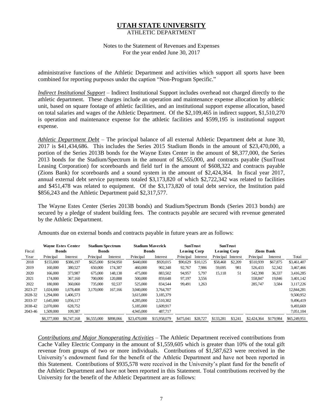### **UTAH STATE UNIVERSITY** ATHLETIC DEPARTMENT

Notes to the Statement of Revenues and Expenses For the year ended June 30, 2017

administrative functions of the Athletic Department and activities which support all sports have been combined for reporting purposes under the caption "Non-Program Specific."

*Indirect Institutional Support* – Indirect Institutional Support includes overhead not charged directly to the athletic department. These charges include an operation and maintenance expense allocation by athletic unit, based on square footage of athletic facilities, and an institutional support expense allocation, based on total salaries and wages of the Athletic Department. Of the \$2,109,465 in indirect support, \$1,510,270 is operation and maintenance expense for the athletic facilities and \$599,195 is institutional support expense.

*Athletic Department Debt* – The principal balance of all external Athletic Department debt at June 30, 2017 is \$41,434,686. This includes the Series 2015 Stadium Bonds in the amount of \$23,470,000, a portion of the Series 2013B bonds for the Wayne Estes Center in the amount of \$8,377,000, the Series 2013 bonds for the Stadium/Spectrum in the amount of \$6,555,000, and contracts payable (SunTrust Leasing Corporation) for scoreboards and field turf in the amount of \$608,322 and contracts payable (Zions Bank) for scoreboards and a sound system in the amount of \$2,424,364. In fiscal year 2017, annual external debt service payments totaled \$3,173,820 of which \$2,722,342 was related to facilities and \$451,478 was related to equipment. Of the \$3,173,820 of total debt service, the Institution paid \$856,243 and the Athletic Department paid \$2,317,577.

The Wayne Estes Center (Series 2013B bonds) and Stadium/Spectrum Bonds (Series 2013 bonds) are secured by a pledge of student building fees. The contracts payable are secured with revenue generated by the Athletic Department.

|         |               | <b>Wayne Estes Center</b> | <b>Stadium Spectrum</b> |           |              | <b>Stadium Maverick</b> |                     | <b>SunTrust</b> | <b>SunTrust</b>     |         |                   |           |              |
|---------|---------------|---------------------------|-------------------------|-----------|--------------|-------------------------|---------------------|-----------------|---------------------|---------|-------------------|-----------|--------------|
| Fiscal  | <b>B</b> onds |                           | <b>B</b> onds           |           | <b>Bonds</b> |                         | <b>Leasing Corp</b> |                 | <b>Leasing Corp</b> |         | <b>Zions Bank</b> |           |              |
| Year    | Principal     | Interest                  | Principal               | Interest  | Principal    | Interest                | Principal           | Interest        | Principal Interest  |         | Principal         | Interest  | Total        |
| 2018    | \$155,000     | \$386,197                 | \$625,000               | \$194,950 | \$440,000    | \$920,015               | \$90,629            | \$10,125        | \$58,468            | \$2,209 | \$510,939         | \$67,875  | \$3,461,407  |
| 2019    | 160,000       | 380,527                   | 650,000                 | 174,387   | 460,000      | 902,348                 | 92,767              | 7,986           | 59,695              | 981     | 526,433           | 52,342    | 3,467,466    |
| 2020    | 166,000       | 373,987                   | 675,000                 | 148,138   | 475,000      | 883,502                 | 94,957              | 5,797           | 15,118              | 51      | 542,398           | 36,337    | 3,416,285    |
| 2021    | 174,000       | 367,160                   | 700,000                 | 120,888   | 500,000      | 859,648                 | 97,197              | 3.556           |                     |         | 558,847           | 19,846    | 3,401,142    |
| 2022    | 180,000       | 360,060                   | 735,000                 | 92,537    | 525,000      | 834,544                 | 99,491              | 1,263           |                     |         | 285,747           | 3,584     | 3,117,226    |
| 2023-27 | 1,024,000     | 1,678,408                 | 3,170,000               | 167,166   | 3,040,000    | 3,764,707               |                     |                 |                     |         |                   |           | 12,844,281   |
| 2028-32 | 1,294,000     | 1,406,573                 |                         |           | 3,615,000    | 3,185,379               |                     |                 |                     |         |                   |           | 9,500,952    |
| 2033-37 | 1,645,000     | 1,056,117                 |                         |           | 4,285,000    | 2,510,302               |                     |                 |                     |         |                   |           | 9,496,419    |
| 2038-42 | 2,070,000     | 628,752                   |                         |           | 5,185,000    | 1,609.917               |                     |                 |                     |         |                   |           | 9,493,669    |
| 2043-46 | 1,509,000     | 109,387                   |                         |           | 4,945,000    | 487,717                 |                     |                 |                     |         |                   |           | 7,051,104    |
|         | \$8,377,000   | \$6,747,168               | \$6,555,000             | \$898,066 | \$23,470,000 | \$15,958,079            | \$475,041           | \$28,727        | \$133,281           | \$3,241 | \$2,424,364       | \$179.984 | \$65,249,951 |

Amounts due on external bonds and contracts payable in future years are as follows:

*Contributions and Major Nonoperating Activities* ‒ The Athletic Department received contributions from Cache Valley Electric Company in the amount of \$1,559,605 which is greater than 10% of the total gift revenue from groups of two or more individuals. Contributions of \$1,587,623 were received in the University's endowment fund for the benefit of the Athletic Department and have not been reported in this Statement. Contributions of \$935,578 were received in the University's plant fund for the benefit of the Athletic Department and have not been reported in this Statement. Total contributions received by the University for the benefit of the Athletic Department are as follows: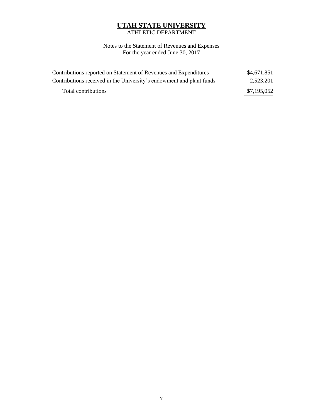## **UTAH STATE UNIVERSITY** ATHLETIC DEPARTMENT

Notes to the Statement of Revenues and Expenses For the year ended June 30, 2017

| Contributions reported on Statement of Revenues and Expenditures     | \$4,671,851 |
|----------------------------------------------------------------------|-------------|
| Contributions received in the University's endowment and plant funds | 2,523,201   |
| Total contributions                                                  | \$7,195,052 |
|                                                                      |             |